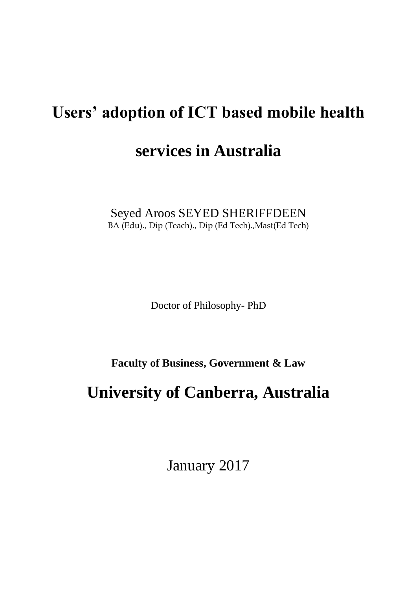# **Users' adoption of ICT based mobile health**

### **services in Australia**

Seyed Aroos SEYED SHERIFFDEEN BA (Edu)., Dip (Teach)., Dip (Ed Tech).,Mast(Ed Tech)

Doctor of Philosophy- PhD

**Faculty of Business, Government & Law**

## **University of Canberra, Australia**

January 2017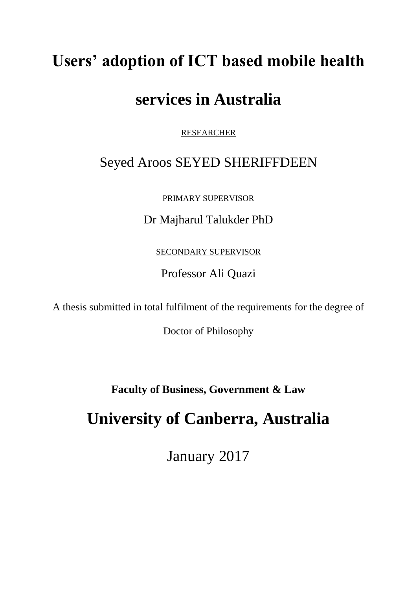# **Users' adoption of ICT based mobile health**

## **services in Australia**

RESEARCHER

### Seyed Aroos SEYED SHERIFFDEEN

PRIMARY SUPERVISOR

Dr Majharul Talukder PhD

SECONDARY SUPERVISOR

Professor Ali Quazi

A thesis submitted in total fulfilment of the requirements for the degree of

Doctor of Philosophy

**Faculty of Business, Government & Law**

## **University of Canberra, Australia**

January 2017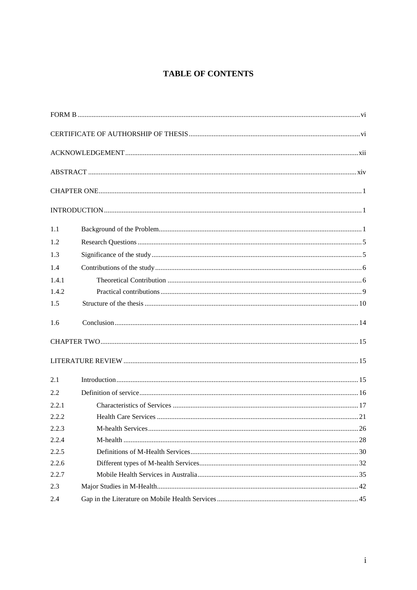#### **TABLE OF CONTENTS**

| 1.1   |  |
|-------|--|
| 1.2   |  |
| 1.3   |  |
| 1.4   |  |
| 1.4.1 |  |
| 1.4.2 |  |
| 1.5   |  |
| 1.6   |  |
|       |  |
|       |  |
| 2.1   |  |
| 2.2   |  |
| 2.2.1 |  |
| 2.2.2 |  |
| 2.2.3 |  |
| 2.2.4 |  |
| 2.2.5 |  |
| 2.2.6 |  |
| 2.2.7 |  |
| 2.3   |  |
| 2.4   |  |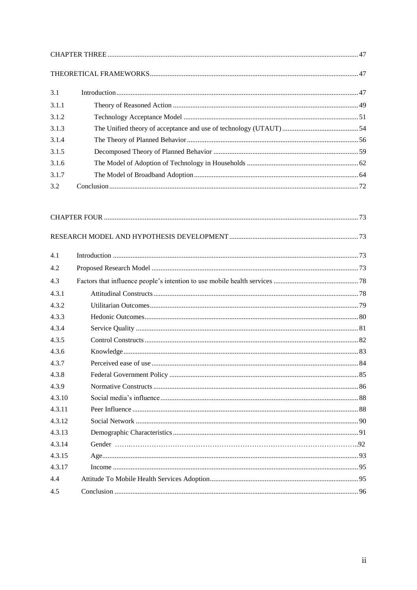| 3.1   |  |
|-------|--|
| 3.1.1 |  |
| 3.1.2 |  |
| 3.1.3 |  |
| 3.1.4 |  |
| 3.1.5 |  |
| 3.1.6 |  |
| 3.1.7 |  |
| 3.2   |  |

| 4.1    |  |
|--------|--|
| 4.2    |  |
| 4.3    |  |
| 4.3.1  |  |
| 4.3.2  |  |
| 4.3.3  |  |
| 4.3.4  |  |
| 4.3.5  |  |
| 4.3.6  |  |
| 4.3.7  |  |
| 4.3.8  |  |
| 4.3.9  |  |
| 4.3.10 |  |
| 4.3.11 |  |
| 4.3.12 |  |
| 4.3.13 |  |
| 4.3.14 |  |
| 4.3.15 |  |
| 4.3.17 |  |
| 4.4    |  |
| 4.5    |  |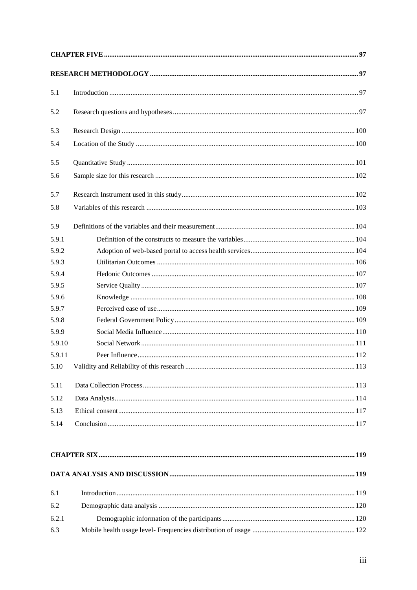| 5.1    |  |
|--------|--|
| 5.2    |  |
| 5.3    |  |
| 5.4    |  |
| 5.5    |  |
| 5.6    |  |
| 5.7    |  |
| 5.8    |  |
| 5.9    |  |
| 5.9.1  |  |
| 5.9.2  |  |
| 5.9.3  |  |
| 5.9.4  |  |
| 5.9.5  |  |
| 5.9.6  |  |
| 5.9.7  |  |
| 5.9.8  |  |
| 5.9.9  |  |
| 5.9.10 |  |
| 5.9.11 |  |
| 5.10   |  |
| 5.11   |  |
| 5.12   |  |
| 5.13   |  |
| 5.14   |  |
|        |  |
|        |  |
| 6.1    |  |
| 6.2    |  |
| 6.2.1  |  |
| 6.3    |  |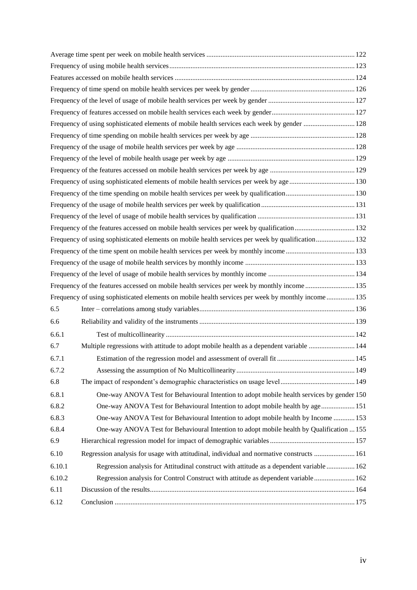|        | Frequency of using sophisticated elements of mobile health services each week by gender  128        |  |
|--------|-----------------------------------------------------------------------------------------------------|--|
|        |                                                                                                     |  |
|        |                                                                                                     |  |
|        |                                                                                                     |  |
|        |                                                                                                     |  |
|        | Frequency of using sophisticated elements of mobile health services per week by age 130             |  |
|        |                                                                                                     |  |
|        |                                                                                                     |  |
|        |                                                                                                     |  |
|        | Frequency of the features accessed on mobile health services per week by qualification 132          |  |
|        | Frequency of using sophisticated elements on mobile health services per week by qualification 132   |  |
|        |                                                                                                     |  |
|        |                                                                                                     |  |
|        |                                                                                                     |  |
|        | Frequency of the features accessed on mobile health services per week by monthly income  135        |  |
|        | Frequency of using sophisticated elements on mobile health services per week by monthly income  135 |  |
| 6.5    |                                                                                                     |  |
| 6.6    |                                                                                                     |  |
| 6.6.1  |                                                                                                     |  |
| 6.7    | Multiple regressions with attitude to adopt mobile health as a dependent variable  144              |  |
| 6.7.1  |                                                                                                     |  |
| 6.7.2  |                                                                                                     |  |
| 6.8    |                                                                                                     |  |
| 6.8.1  | One-way ANOVA Test for Behavioural Intention to adopt mobile health services by gender 150          |  |
| 6.8.2  | One-way ANOVA Test for Behavioural Intention to adopt mobile health by age 151                      |  |
| 6.8.3  | One-way ANOVA Test for Behavioural Intention to adopt mobile health by Income  153                  |  |
| 6.8.4  | One-way ANOVA Test for Behavioural Intention to adopt mobile health by Qualification  155           |  |
| 6.9    |                                                                                                     |  |
| 6.10   | Regression analysis for usage with attitudinal, individual and normative constructs  161            |  |
| 6.10.1 | Regression analysis for Attitudinal construct with attitude as a dependent variable  162            |  |
| 6.10.2 | Regression analysis for Control Construct with attitude as dependent variable  162                  |  |
| 6.11   |                                                                                                     |  |
|        |                                                                                                     |  |
| 6.12   |                                                                                                     |  |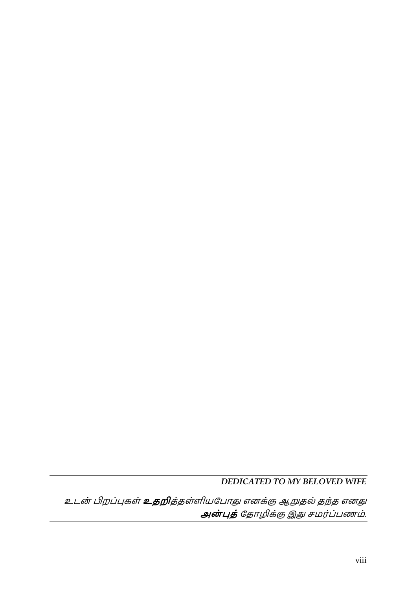### *DEDICATED TO MY BELOVED WIFE*

உடன் பிறப்புகள் **உதறி**த்தள்ளியபபோது எனக்கு ஆறுதல் தந்த எனது **அன் புத்**பதோழிக்கு இது சமர்ப்பணம்.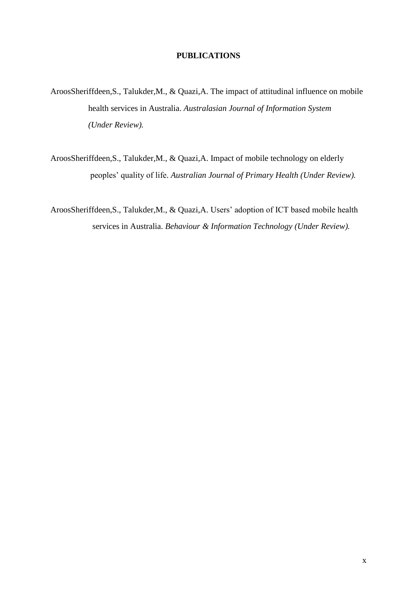#### **PUBLICATIONS**

- AroosSheriffdeen,S., Talukder,M., & Quazi,A. The impact of attitudinal influence on mobile health services in Australia. *Australasian Journal of Information System (Under Review).*
- AroosSheriffdeen,S., Talukder,M., & Quazi,A. Impact of mobile technology on elderly peoples' quality of life. *Australian Journal of Primary Health (Under Review).*
- AroosSheriffdeen,S., Talukder,M., & Quazi,A. Users' adoption of ICT based mobile health services in Australia. *Behaviour & Information Technology (Under Review).*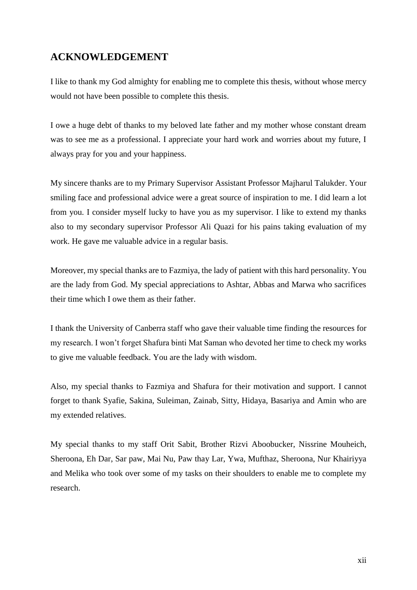### <span id="page-9-0"></span>**ACKNOWLEDGEMENT**

I like to thank my God almighty for enabling me to complete this thesis, without whose mercy would not have been possible to complete this thesis.

I owe a huge debt of thanks to my beloved late father and my mother whose constant dream was to see me as a professional. I appreciate your hard work and worries about my future, I always pray for you and your happiness.

My sincere thanks are to my Primary Supervisor Assistant Professor Majharul Talukder. Your smiling face and professional advice were a great source of inspiration to me. I did learn a lot from you. I consider myself lucky to have you as my supervisor. I like to extend my thanks also to my secondary supervisor Professor Ali Quazi for his pains taking evaluation of my work. He gave me valuable advice in a regular basis.

Moreover, my special thanks are to Fazmiya, the lady of patient with this hard personality. You are the lady from God. My special appreciations to Ashtar, Abbas and Marwa who sacrifices their time which I owe them as their father.

I thank the University of Canberra staff who gave their valuable time finding the resources for my research. I won't forget Shafura binti Mat Saman who devoted her time to check my works to give me valuable feedback. You are the lady with wisdom.

Also, my special thanks to Fazmiya and Shafura for their motivation and support. I cannot forget to thank Syafie, Sakina, Suleiman, Zainab, Sitty, Hidaya, Basariya and Amin who are my extended relatives.

My special thanks to my staff Orit Sabit, Brother Rizvi Aboobucker, Nissrine Mouheich, Sheroona, Eh Dar, Sar paw, Mai Nu, Paw thay Lar, Ywa, Mufthaz, Sheroona, Nur Khairiyya and Melika who took over some of my tasks on their shoulders to enable me to complete my research.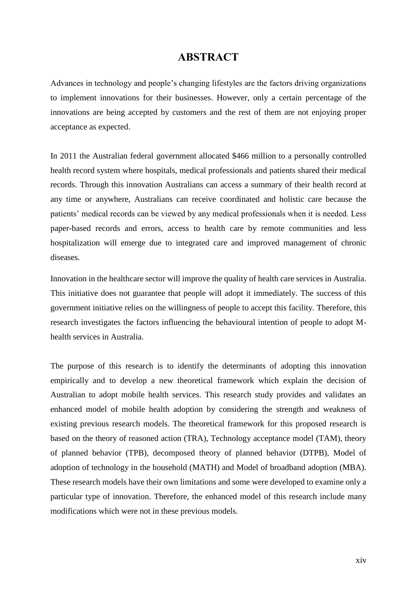#### **ABSTRACT**

<span id="page-10-0"></span>Advances in technology and people's changing lifestyles are the factors driving organizations to implement innovations for their businesses. However, only a certain percentage of the innovations are being accepted by customers and the rest of them are not enjoying proper acceptance as expected.

In 2011 the Australian federal government allocated \$466 million to a personally controlled health record system where hospitals, medical professionals and patients shared their medical records. Through this innovation Australians can access a summary of their health record at any time or anywhere, Australians can receive coordinated and holistic care because the patients' medical records can be viewed by any medical professionals when it is needed. Less paper-based records and errors, access to health care by remote communities and less hospitalization will emerge due to integrated care and improved management of chronic diseases.

Innovation in the healthcare sector will improve the quality of health care services in Australia. This initiative does not guarantee that people will adopt it immediately. The success of this government initiative relies on the willingness of people to accept this facility. Therefore, this research investigates the factors influencing the behavioural intention of people to adopt Mhealth services in Australia.

The purpose of this research is to identify the determinants of adopting this innovation empirically and to develop a new theoretical framework which explain the decision of Australian to adopt mobile health services. This research study provides and validates an enhanced model of mobile health adoption by considering the strength and weakness of existing previous research models. The theoretical framework for this proposed research is based on the theory of reasoned action (TRA), Technology acceptance model (TAM), theory of planned behavior (TPB), decomposed theory of planned behavior (DTPB), Model of adoption of technology in the household (MATH) and Model of broadband adoption (MBA). These research models have their own limitations and some were developed to examine only a particular type of innovation. Therefore, the enhanced model of this research include many modifications which were not in these previous models.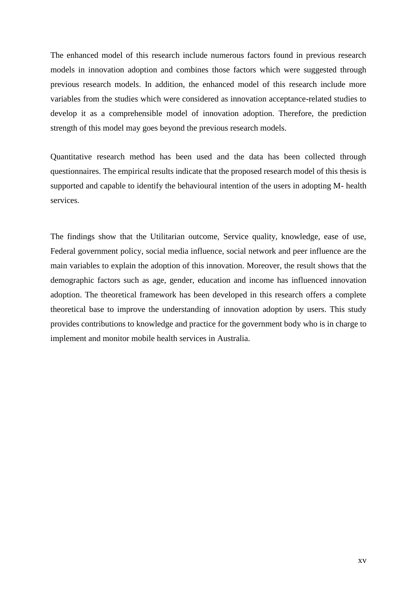The enhanced model of this research include numerous factors found in previous research models in innovation adoption and combines those factors which were suggested through previous research models. In addition, the enhanced model of this research include more variables from the studies which were considered as innovation acceptance-related studies to develop it as a comprehensible model of innovation adoption. Therefore, the prediction strength of this model may goes beyond the previous research models.

Quantitative research method has been used and the data has been collected through questionnaires. The empirical results indicate that the proposed research model of this thesis is supported and capable to identify the behavioural intention of the users in adopting M- health services.

The findings show that the Utilitarian outcome, Service quality, knowledge, ease of use, Federal government policy, social media influence, social network and peer influence are the main variables to explain the adoption of this innovation. Moreover, the result shows that the demographic factors such as age, gender, education and income has influenced innovation adoption. The theoretical framework has been developed in this research offers a complete theoretical base to improve the understanding of innovation adoption by users. This study provides contributions to knowledge and practice for the government body who is in charge to implement and monitor mobile health services in Australia.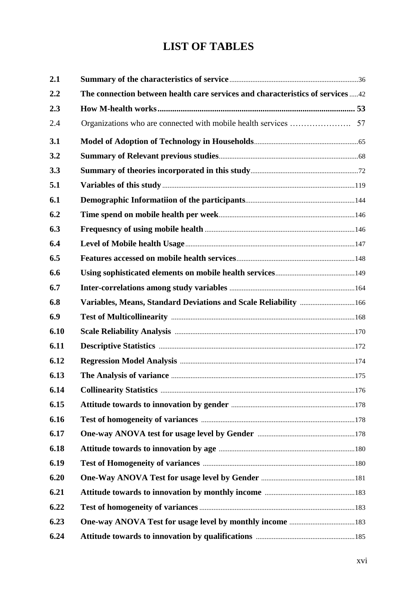### **LIST OF TABLES**

| 2.1  |                                                                                 |  |
|------|---------------------------------------------------------------------------------|--|
| 2.2  | The connection between health care services and characteristics of services  42 |  |
| 2.3  |                                                                                 |  |
| 2.4  |                                                                                 |  |
| 3.1  |                                                                                 |  |
| 3.2  |                                                                                 |  |
| 3.3  |                                                                                 |  |
| 5.1  |                                                                                 |  |
| 6.1  |                                                                                 |  |
| 6.2  |                                                                                 |  |
| 6.3  |                                                                                 |  |
| 6.4  |                                                                                 |  |
| 6.5  |                                                                                 |  |
| 6.6  |                                                                                 |  |
| 6.7  |                                                                                 |  |
| 6.8  | Variables, Means, Standard Deviations and Scale Reliability  166                |  |
| 6.9  |                                                                                 |  |
| 6.10 |                                                                                 |  |
| 6.11 |                                                                                 |  |
| 6.12 |                                                                                 |  |
| 6.13 |                                                                                 |  |
| 6.14 |                                                                                 |  |
| 6.15 |                                                                                 |  |
| 6.16 |                                                                                 |  |
| 6.17 |                                                                                 |  |
| 6.18 |                                                                                 |  |
| 6.19 |                                                                                 |  |
| 6.20 |                                                                                 |  |
| 6.21 |                                                                                 |  |
| 6.22 |                                                                                 |  |
| 6.23 |                                                                                 |  |
| 6.24 |                                                                                 |  |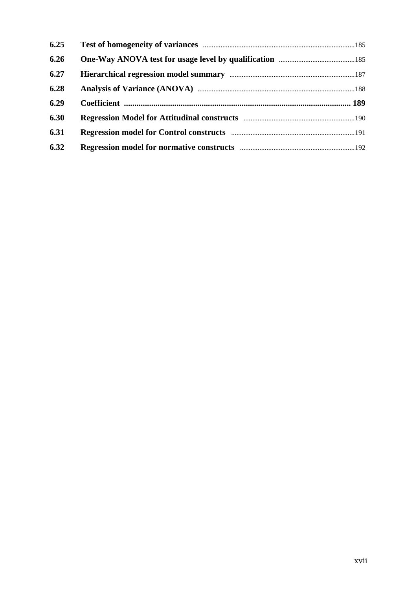| 6.25 |  |
|------|--|
| 6.26 |  |
| 6.27 |  |
| 6.28 |  |
| 6.29 |  |
| 6.30 |  |
| 6.31 |  |
| 6.32 |  |